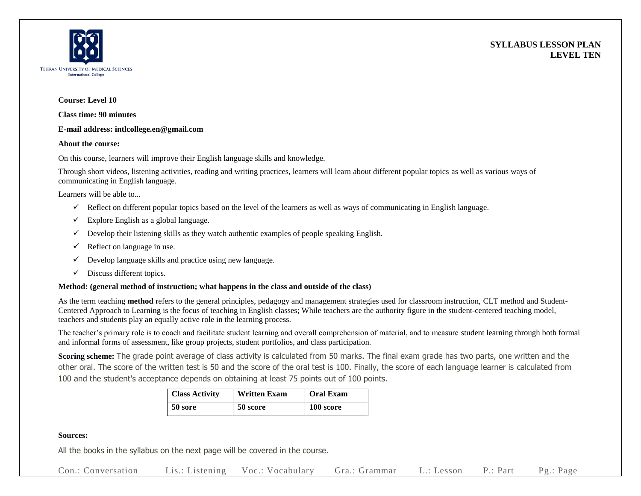



#### **Course: Level 10**

**Class time: 90 minutes**

### **E-mail address: intlcollege.en@gmail.com**

### **About the course:**

On this course, learners will improve their English language skills and knowledge.

Through short videos, listening activities, reading and writing practices, learners will learn about different popular topics as well as various ways of communicating in English language.

Learners will be able to...

- $\checkmark$  Reflect on different popular topics based on the level of the learners as well as ways of communicating in English language.
- $\checkmark$  Explore English as a global language.
- $\checkmark$  Develop their listening skills as they watch authentic examples of people speaking English.
- $\checkmark$  Reflect on language in use.
- $\checkmark$  Develop language skills and practice using new language.
- $\checkmark$  Discuss different topics.

## **Method: (general method of instruction; what happens in the class and outside of the class)**

As the term teaching **method** refers to the general principles, pedagogy and management strategies used for classroom instruction, CLT method and Student-Centered Approach to Learning is the focus of teaching in English classes; While teachers are the authority figure in the student-centered teaching model, teachers and students play an equally active role in the learning process.

The teacher's primary role is to coach and facilitate student learning and overall comprehension of material, and to measure student learning through both formal and informal forms of assessment, like group projects, student portfolios, and class participation.

**Scoring scheme:** The grade point average of class activity is calculated from 50 marks. The final exam grade has two parts, one written and the other oral. The score of the written test is 50 and the score of the oral test is 100. Finally, the score of each language learner is calculated from 100 and the student's acceptance depends on obtaining at least 75 points out of 100 points.

| <b>Class Activity</b> | <b>Written Exam</b> | <b>Oral Exam</b> |
|-----------------------|---------------------|------------------|
| 50 sore               | 50 score            | 100 score        |

## **Sources:**

All the books in the syllabus on the next page will be covered in the course.

Con.: Conversation Lis.: Listening Voc.: Vocabulary Gra.: Grammar L.: Lesson P.: Part Pg.: Page